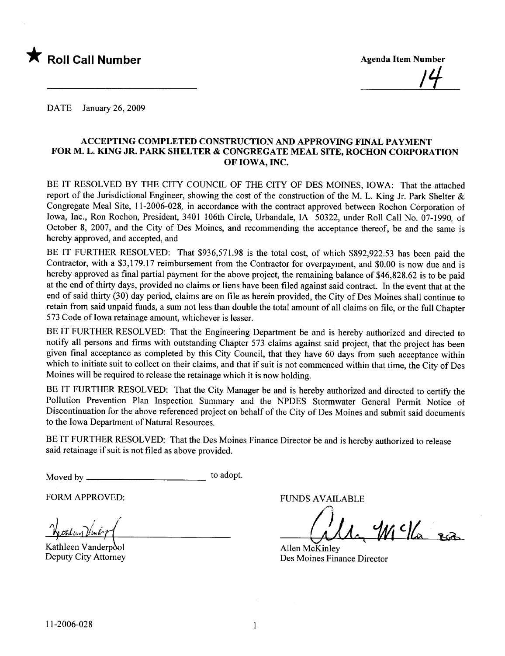

DATE January 26, 2009

#### ACCEPTING COMPLETED CONSTRUCTION AND APPROVING FINAL PAYMENT FOR M. L. KIG JR. PARK SHELTER & CONGREGATE MEAL SITE, ROCHON CORPORATION OF IOWA, INC.

BE IT RESOLVED BY THE CITY COUNCIL OF THE CITY OF DES MOINES, IOWA: That the attached report of the Jurisdictional Engineer, showing the cost of the construction of the M. L. King Jr. Park Shelter & Congregate Meal Site, 11-2006-028, in accordance with the contract approved between Rochon Corporation of Iowa, Inc., Ron Rochon, President, 3401 106th Circle, Urbandale, IA 50322, under Roll Call No. 07-1990, of October 8, 2007, and the City of Des Moines, and recommending the acceptance thereof, be and the same is hereby approved, and accepted, and

BE IT FURTHER RESOLVED: That \$936,571.98 is the total cost, of which \$892,922.53 has been paid the Contractor, with a \$3,179.17 reimbursement from the Contractor for overpayment, and \$0.00 is now due and is hereby approved as final partial payment for the above project, the remaining balance of \$46,828.62 is to be paid at the end of thirty days, provided no claims or liens have been filed against said contract. In the event that at the end of said thirty (30) day period, claims are on file as herein provided, the City of Des Moines shall continue to retain from said unpaid funds, a sum not less than double the total amount of all claims on fie, or the full Chapter 573 Code of Iowa retainage amount, whichever is lesser.

BE IT FURTHER RESOLVED: That the Engineering Department be and is hereby authorized and directed to notify all persons and firms with outstanding Chapter 573 claims against said project, that the project has been given final acceptance as completed by this City Council, that they have 60 days from such acceptance within which to initiate suit to collect on their claims, and that if suit is not commenced within that time, the City of Des Moines will be required to release the retainage which it is now holding.

BE IT FURTHER RESOLVED: That the City Manager be and is hereby authorized and directed to certify the Pollution Prevention Plan Inspection Summary and the NPDES Stormwater General Permit Notice of Discontinuation for the above referenced project on behalf of the City of Des Moines and submit said documents to the Iowa Department of Natural Resources.

BE IT FURTHER RESOLVED: That the Des Moines Finance Director be and is hereby authorized to release said retainage if suit is not fied as above provided.

Moved by to adopt.

FORM APPROVED:

<u>Wealing Vinbopt</u>

Kathleen Vanderpool Deputy City Attorney

FUNDS AVAILABLE

alle Wills son

Allen McKinley Des Moines Finance Director

 $\mathbf{1}$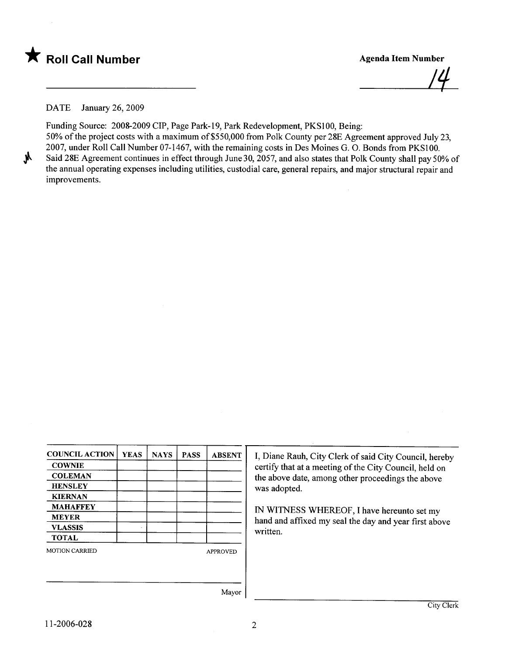

1'1

DATE January 26, 2009

Funding Source: 2008-2009 CIP, Page Park-19, Park Redevelopment, PKS100, Being: 50% of the project costs with a maximum of\$550,000 from Polk County per 28E Agreement approved July 23, 2007, under Roll Call Number 07-1467, with the remaining costs in Des Moines G. O. Bonds from PKS100. Said 28E Agreement continues in effect through June 30, 2057, and also states that Polk County shall pay 50% of the annual operating expenses including utilties, custodial care, general repairs, and major structural repair and improvements.

| <b>COUNCIL ACTION</b> | <b>YEAS</b> | <b>NAYS</b> | <b>PASS</b> | <b>ABSENT</b>   |
|-----------------------|-------------|-------------|-------------|-----------------|
| <b>COWNIE</b>         |             |             |             |                 |
| <b>COLEMAN</b>        |             |             |             |                 |
| <b>HENSLEY</b>        |             |             |             |                 |
| <b>KIERNAN</b>        |             |             |             |                 |
| <b>MAHAFFEY</b>       |             |             |             |                 |
| <b>MEYER</b>          |             |             |             |                 |
| <b>VLASSIS</b>        |             |             |             |                 |
| <b>TOTAL</b>          |             |             |             |                 |
| <b>MOTION CARRIED</b> |             |             |             | <b>APPROVED</b> |
|                       |             |             |             |                 |
|                       |             |             |             | Mavor           |

I, Diane Rauh, City Clerk of said City Council, hereby certify that at a meeting of the City Council, held on the above date, among other proceedings the above was adopted.

IN WITNESS WHREOF, I have hereunto set my hand and affixed my seal the day and year first above written.

Mayor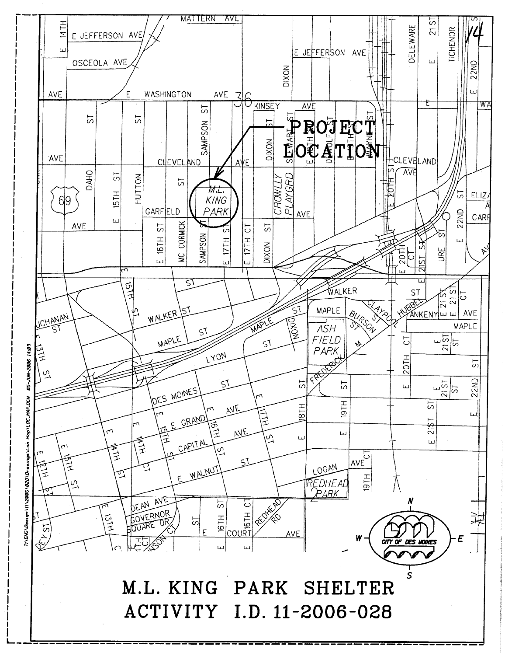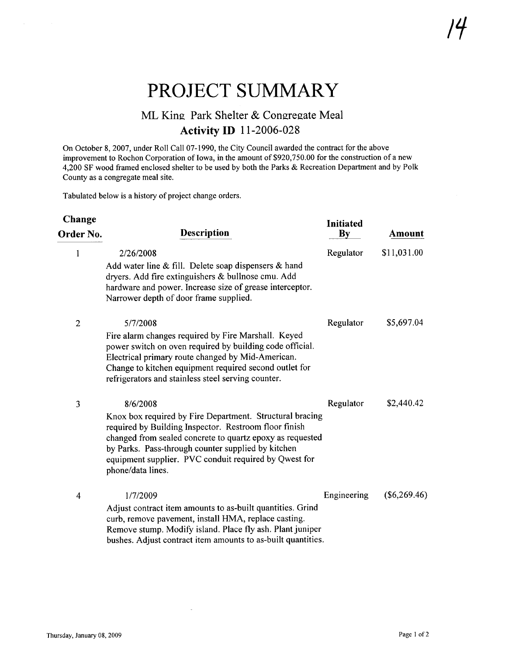## PROJECT SUMMARY

### ML King Park Shelter & Congregate Meal **Activity ID** 11-2006-028

On October 8, 2007, under Roll Call 07-1990, the City Council awarded the contract for the above improvement to Rochon Corporation of Iowa, in the amount of \$920,750.00 for the construction of a new 4,200 SF wood framed enclosed shelter to be used by both the Parks & Recreation Department and by Polk County as a congregate meal site.

Tabulated below is a history of project change orders.

| Change         |                                                                                                                                                                                                                                                                                                                                | <b>Initiated</b>       |                |
|----------------|--------------------------------------------------------------------------------------------------------------------------------------------------------------------------------------------------------------------------------------------------------------------------------------------------------------------------------|------------------------|----------------|
| Order No.      | <b>Description</b>                                                                                                                                                                                                                                                                                                             | $\mathbf{B}\mathbf{y}$ | Amount         |
| $\mathbf{1}$   | 2/26/2008<br>Add water line & fill. Delete soap dispensers & hand<br>dryers. Add fire extinguishers & bullnose cmu. Add<br>hardware and power. Increase size of grease interceptor.<br>Narrower depth of door frame supplied.                                                                                                  | Regulator              | \$11,031.00    |
| $\overline{2}$ | 5/7/2008<br>Fire alarm changes required by Fire Marshall. Keyed<br>power switch on oven required by building code official.<br>Electrical primary route changed by Mid-American.<br>Change to kitchen equipment required second outlet for<br>refrigerators and stainless steel serving counter.                               | Regulator              | \$5,697.04     |
| 3              | 8/6/2008<br>Knox box required by Fire Department. Structural bracing<br>required by Building Inspector. Restroom floor finish<br>changed from sealed concrete to quartz epoxy as requested<br>by Parks. Pass-through counter supplied by kitchen<br>equipment supplier. PVC conduit required by Qwest for<br>phone/data lines. | Regulator              | \$2,440.42     |
| $\overline{4}$ | 1/7/2009<br>Adjust contract item amounts to as-built quantities. Grind<br>curb, remove pavement, install HMA, replace casting.<br>Remove stump. Modify island. Place fly ash. Plant juniper<br>bushes. Adjust contract item amounts to as-built quantities.                                                                    | Engineering            | $(\$6,269.46)$ |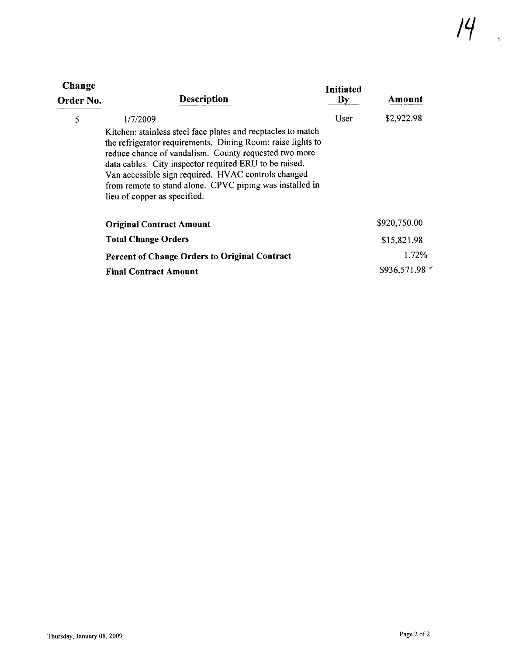| Change<br>Order No. | <b>Description</b>                                                                                                                                                                                                                                                                                                                                                                                            | <b>Initiated</b><br>$\mathbf{By}$ | Amount       |
|---------------------|---------------------------------------------------------------------------------------------------------------------------------------------------------------------------------------------------------------------------------------------------------------------------------------------------------------------------------------------------------------------------------------------------------------|-----------------------------------|--------------|
| 5                   | 1/7/2009<br>Kitchen: stainless steel face plates and recptacles to match<br>the refrigerator requirements. Dining Room: raise lights to<br>reduce chance of vandalism. County requested two more<br>data cables. City inspector required ERU to be raised.<br>Van accessible sign required. HVAC controls changed<br>from remote to stand alone. CPVC piping was installed in<br>lieu of copper as specified. | User                              | \$2,922.98   |
|                     | <b>Original Contract Amount</b>                                                                                                                                                                                                                                                                                                                                                                               |                                   | \$920,750.00 |
|                     | <b>Total Change Orders</b>                                                                                                                                                                                                                                                                                                                                                                                    |                                   | \$15,821.98  |
|                     | <b>Percent of Change Orders to Original Contract</b>                                                                                                                                                                                                                                                                                                                                                          |                                   | $1.72\%$     |
|                     | <b>Final Contract Amount</b>                                                                                                                                                                                                                                                                                                                                                                                  |                                   | \$936,571.98 |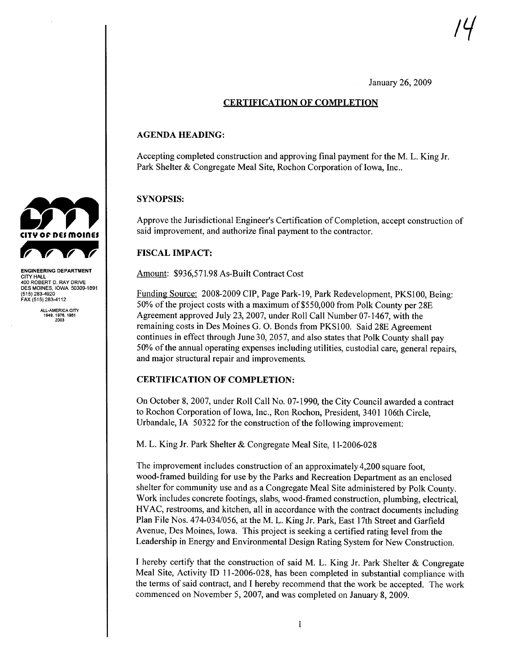1'1

January 26,2009

#### CERTIFICATION OF COMPLETION

#### AGENDA HEADING:

Accepting completed construction and approving final payment for the M. L. King Jr Park Shelter & Congregate Meal Site, Rochon Corporation of Iowa, Inc..

#### SYNOPSIS:

Approve the Jurisdictional Engineer's Certification of Completion, accept construction of said improvement, and authorize final payment to the contractor.

#### FISCAL IMPACT:

Amount: \$936,571.98 As-Built Contract Cost

Funding Source: 2008-2009 CIP, Page Park-19, Park Redevelopment, PKS100, Being: 50% of the project costs with a maximum of\$550,000 from Polk County per 28E Agreement approved July 23,2007, under Roll Call Number 07-1467, with the remaining costs in Des Moines G. O. Bonds from PKSI00. Said 28E Agreement continues in effect through June 30, 2057, and also states that Polk County shall pay 50% of the annual operating expenses including utilties, custodial care, general repairs, and major structural repair and improvements.

#### CERTIFICATION OF COMPLETION:

On October 8,2007, under Roll Call No. 07-1990, the City Council awarded a contract to Rochon Corporation of Iowa, Inc., Ron Rochon, President, 3401 106th Circle, Urbandale,IA 50322 for the construction of the following improvement:

M. L. King Jr. Park Shelter & Congregate Meal Site, 11-2006-028

The improvement includes construction of an approximately 4,200 square foot, wood-framed building for use by the Parks and Recreation Department as an enclosed shelter for community use and as a Congregate Meal Site administered by Polk County. Work includes concrete footings, slabs, wood-framed construction, plumbing, electrical, HV AC, restrooms, and kitchen, all in accordance with the contract documents including Plan File Nos. 474-034/056, at the M. L. King Jr. Park, East 17th Street and Garfield Avenue, Des Moines, Iowa. This project is seeking a certified rating level from the Leadership in Energy and Environmental Design Rating System for New Construction.

I hereby certify that the construction of said M. L. King Jr. Park Shelter & Congregate Meal Site, Activity ID 11-2006-028, has been completed in substantial compliance with the terms of said contract, and I hereby recommend that the work be accepted. The work commenced on November 5, 2007, and was completed on January 8, 2009.



ENGINEERING DEPARTMENT CITY HALL 400 ROBERT D. RAY DRIVE DES MOINES, IOWA 50309-1891 (515) 283-4920 FAX (515) 283-4112

ALL-AMERICA CITY 1949,1976,1981 2003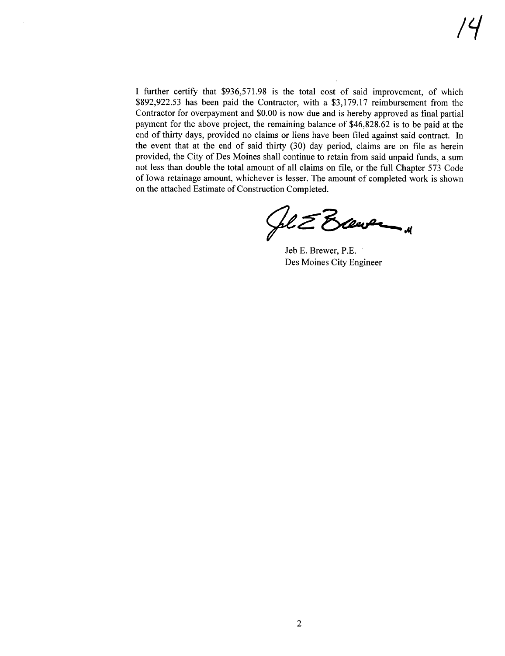I further certify that \$936,571.98 is the total cost of said improvement, of which \$892,922.53 has been paid the Contractor, with a \$3,179.17 reimbursement from the Contractor for overpayment and \$0.00 is now due and is hereby approved as final partial payment for the above project, the remaining balance of \$46,828.62 is to be paid at the end of thirty days, provided no claims or liens have been filed against said contract. In the event that at the end of said thirty  $(30)$  day period, claims are on file as herein provided, the City of Des Moines shall continue to retain from said unpaid funds, a sum not less than double the total amount of all claims on fie, or the full Chapter 573 Code of Iowa retain age amount, whichever is lesser. The amount of completed work is shown

on the attached Estimate of Construction Completed.<br> $\mathcal{L}$  Bawelland

Jeb E. Brewer, P.E. Des Moines City Engineer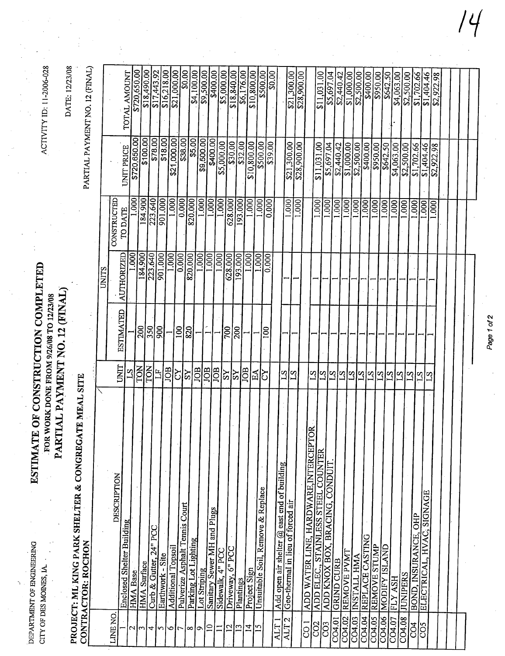# ESTIMATE OF CONSTRUCTION COMPLETED PARTIAL PAYMENT NO. 12 (FINAL) FOR WORK DONE FROM 9/26/08 TO 12/23/08

ACTIVITY ID: 11-2006-028

DATE: 12/23/08

|                    | E MEAL SITE<br><b>PROJECT: ML KING PARK SHELTER &amp; CONGREGAT</b><br>CONTRACTOR: ROCHON |                 |                  |                       |                              |                          | DAIL: 12/23/08                 |
|--------------------|-------------------------------------------------------------------------------------------|-----------------|------------------|-----------------------|------------------------------|--------------------------|--------------------------------|
|                    |                                                                                           |                 |                  |                       |                              |                          | PARTIAL PAYMENT NO. 12 (FINAL) |
|                    |                                                                                           |                 |                  | UNITS                 |                              |                          |                                |
| LINE NO.           | DESCRIPTION                                                                               | UNIT            | <b>ESTIMATED</b> |                       | CONSTRUCTED                  |                          |                                |
| $\scriptstyle\sim$ | Enclosed Shelter Building                                                                 | 5T              |                  | 000<br>AUTHORIZED     | TO DATE                      | UNIT PRICE               | TOTAL AMOUNT                   |
|                    | HMA Base                                                                                  | ION             | 200              |                       | .000                         | \$720,650.00             | \$720,650.00                   |
| E                  | <b>HMA</b> Surface                                                                        | TON             |                  | 184.900               | 184.900                      | \$100.00                 | \$18,490.00                    |
| 4                  | Curb & Gutter, $24^{\circ}$ PCC                                                           | H               | 350              | 223.640               | 223.640                      | \$78.00                  | \$17,443.92                    |
| S                  | Earthwork - Site                                                                          |                 | $\frac{1}{900}$  | 901.000               | 901.000                      | \$18.00]                 | $\sqrt{16,218.00}$             |
| 0                  | Additional Topsoil                                                                        | JOB             |                  | $\overline{[00]}$     | $\frac{1000}{0.000}$         | \$21,000.00              | \$21,000.00                    |
| 7                  | Pulverize Asphalt Tennis Court                                                            | গ্ৰাই           | 100              | 0.000                 |                              |                          | $\frac{80.00}{ }$              |
| $\infty$           | Parking Lot Lighting                                                                      |                 | 820              | 820.000               | 820.000                      | \$38.00                  | \$4,100.00                     |
| ᡋ                  | Lot Striping                                                                              | <b>EOL</b>      |                  | 1.000                 | 1.000                        | \$9,500.00               | 69,500.00                      |
| $\Xi$              | Sanitary Sewer MH and Plugs                                                               | <b>JOB</b>      |                  | $\frac{000}{1.000}$   | $\frac{1000}{1}$             | \$400.00                 | \$400.00                       |
|                    | Sidewalk, 4" PCC                                                                          | <b>EOL</b>      |                  | 1.000                 | $\overline{\text{.000}}$     | \$5,000.00               | \$5,000.00                     |
| $\overline{c}$     | $6"$ PCC<br>Driveway,                                                                     | $\overline{S}$  | $\overline{700}$ | 628.000               | 628.000                      |                          | \$18,840.00                    |
| $\mathbf{r}$       | Plantings                                                                                 | ķΣ              | $\overline{200}$ | 193.000               | 193.000                      | <b>830.00</b><br>832.00  | \$6,176.00                     |
| 4                  | Project Sign                                                                              | JOB             |                  |                       | $\frac{1000}{\pi}$           | \$10,800.00              | \$10,800.00                    |
| n                  | Unsuitable Soil, Remove & Replace                                                         | $E_{\rm A}$     |                  | $\frac{1.000}{1.000}$ | 1.000                        |                          | 8500.00                        |
|                    |                                                                                           | S               | $\overline{5}$   | 0.000                 | 0.000                        | \$500.00                 |                                |
| ALT                | Add open air shelter $@$ east end of building                                             |                 |                  |                       |                              |                          | \$0.00                         |
| $\sim$<br>ALT.     | Geo-thermal in lieu of forced air                                                         | $\overline{S1}$ |                  |                       | 1.000                        | \$21,300.00              |                                |
|                    |                                                                                           | $^{21}$         |                  |                       | $\frac{1.000}{\sqrt{1.000}}$ | \$28,900.00              | \$21,300.00                    |
| J<br>S             |                                                                                           |                 |                  |                       |                              |                          | \$28,900.00                    |
| CO <sub>2</sub>    | ADD WATER LINE, HARDWARE, INTERCEPTOR                                                     | $\overline{21}$ |                  |                       | 1.000                        |                          |                                |
| CO <sub>3</sub>    | ADD ELEC., STAINLESS STEEL COUNTER                                                        | $\frac{S}{I}$   |                  |                       |                              | \$11,031.00              | \$11,031.00                    |
|                    | ADD KNOX BOX, BRACING, CONDUIT                                                            |                 |                  |                       | 1.000                        | \$5,697.04               |                                |
| CO4.01             | <b>GRIND CURB</b>                                                                         | <u>EJE</u>      |                  |                       | 1.000                        | \$2,440.42<br>\$1,000.00 | \$5,697.04<br>\$2,440.42       |
| CO4.02             | REMOVE PVMT                                                                               |                 |                  |                       | 1.000                        |                          | \$1,000.00                     |
| CO4.03             | <b>INSTALL HMA</b>                                                                        |                 |                  |                       | $\frac{1000}{1000}$          | $\sqrt{2,500.00}$        | \$2,500.00                     |
| CO4.04             | REPLACE CASTING                                                                           |                 |                  |                       | 1.000                        | 8400.00                  |                                |
| CO4.05             | <b>REMOVE STUMP</b>                                                                       | 333993          |                  |                       | 1.000                        | \$950.00                 | 8400.00                        |
| CO4.06             | <b>ISLAND</b><br><b>MODIFY</b>                                                            |                 |                  |                       | 1.000                        |                          | 8642.50                        |
| CO4.07             | <b>HSY</b><br><u>КTИ</u>                                                                  |                 |                  |                       | $\overline{\Xi}$             | \$4,063.00               | \$4,063.00                     |
| CO4.08             | <b>JUNIPERS</b>                                                                           |                 |                  |                       | $\overline{000}$             |                          | \$2,500.00                     |
| S<br>S             | BOND, INSURANCE, OHP                                                                      | $\mathbb{E}$    |                  |                       | 000                          | \$1,702.66               | \$1,702.66                     |
| čS                 | ELECTRICAL, HVAC, SIGNAGE                                                                 | $\overline{51}$ |                  |                       | 1.000                        | \$1,404.46               | 61,404.46                      |
|                    |                                                                                           | $^{2}$          |                  |                       | 000                          | \$2,922.98               | \$2,922.98                     |
|                    |                                                                                           |                 |                  |                       |                              |                          |                                |
|                    |                                                                                           |                 |                  |                       |                              |                          |                                |
|                    |                                                                                           |                 |                  |                       |                              |                          |                                |
|                    |                                                                                           |                 |                  |                       |                              |                          |                                |

Page 1 of 2